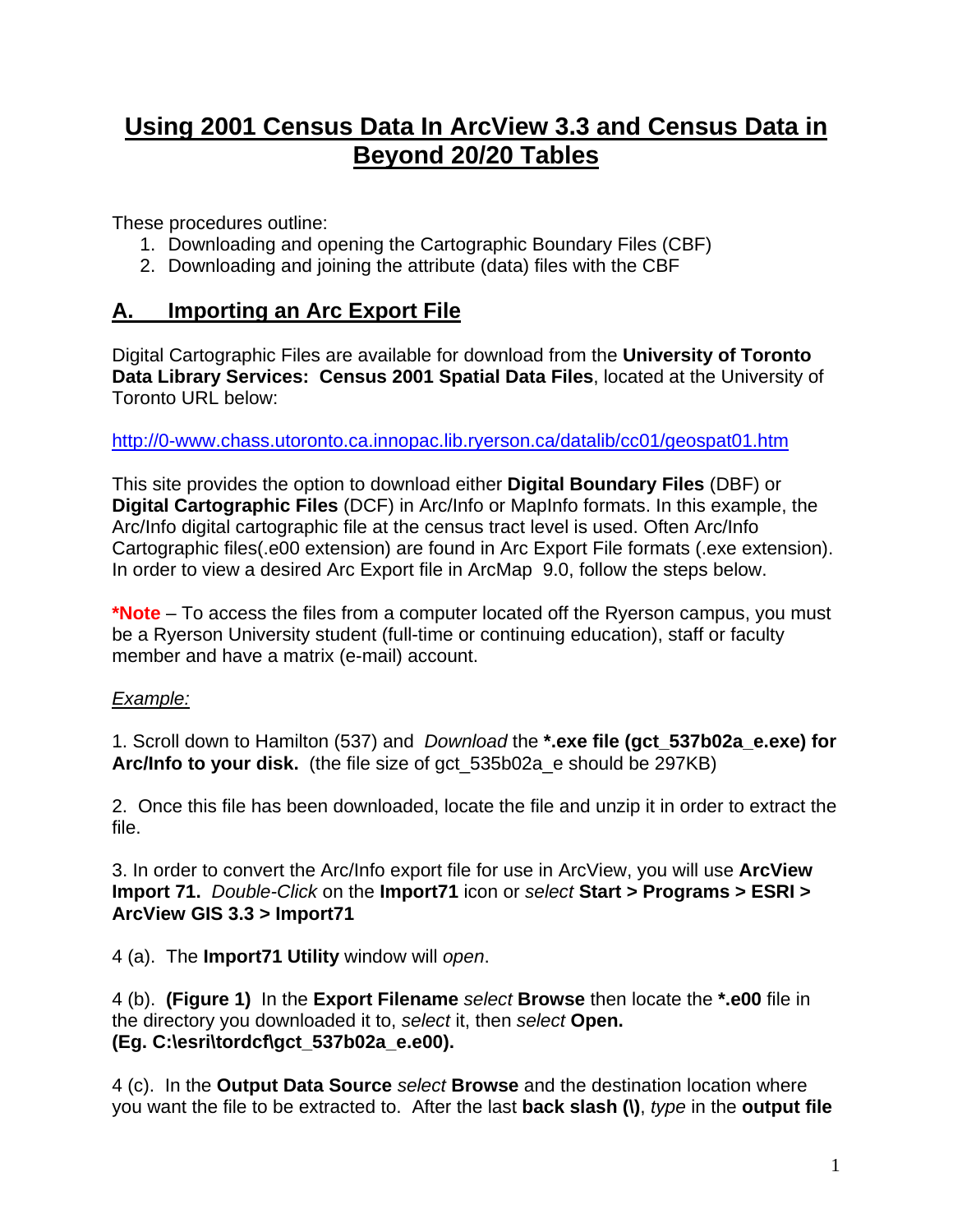# **Using 2001 Census Data In ArcView 3.3 and Census Data in Beyond 20/20 Tables**

These procedures outline:

- 1. Downloading and opening the Cartographic Boundary Files (CBF)
- 2. Downloading and joining the attribute (data) files with the CBF

### **A. Importing an Arc Export File**

Digital Cartographic Files are available for download from the **University of Toronto Data Library Services: Census 2001 Spatial Data Files**, located at the University of Toronto URL below:

#### <http://0-www.chass.utoronto.ca.innopac.lib.ryerson.ca/datalib/cc01/geospat01.htm>

This site provides the option to download either **Digital Boundary Files** (DBF) or **Digital Cartographic Files** (DCF) in Arc/Info or MapInfo formats. In this example, the Arc/Info digital cartographic file at the census tract level is used. Often Arc/Info Cartographic files(.e00 extension) are found in Arc Export File formats (.exe extension). In order to view a desired Arc Export file in ArcMap 9.0, follow the steps below.

**\*Note** – To access the files from a computer located off the Ryerson campus, you must be a Ryerson University student (full-time or continuing education), staff or faculty member and have a matrix (e-mail) account.

### *Example:*

1. Scroll down to Hamilton (537) and *Download* the **\*.exe file (gct\_537b02a\_e.exe) for Arc/Info to your disk.** (the file size of gct\_535b02a\_e should be 297KB)

2. Once this file has been downloaded, locate the file and unzip it in order to extract the file.

3. In order to convert the Arc/Info export file for use in ArcView, you will use **ArcView Import 71.** *Double-Click* on the **Import71** icon or *select* **Start > Programs > ESRI > ArcView GIS 3.3 > Import71** 

4 (a). The **Import71 Utility** window will *open*.

4 (b). **(Figure 1)** In the **Export Filename** *select* **Browse** then locate the **\*.e00** file in the directory you downloaded it to, *select* it, then *select* **Open. (Eg. C:\esri\tordcf\gct\_537b02a\_e.e00).** 

4 (c). In the **Output Data Source** *select* **Browse** and the destination location where you want the file to be extracted to. After the last **back slash (\)**, *type* in the **output file**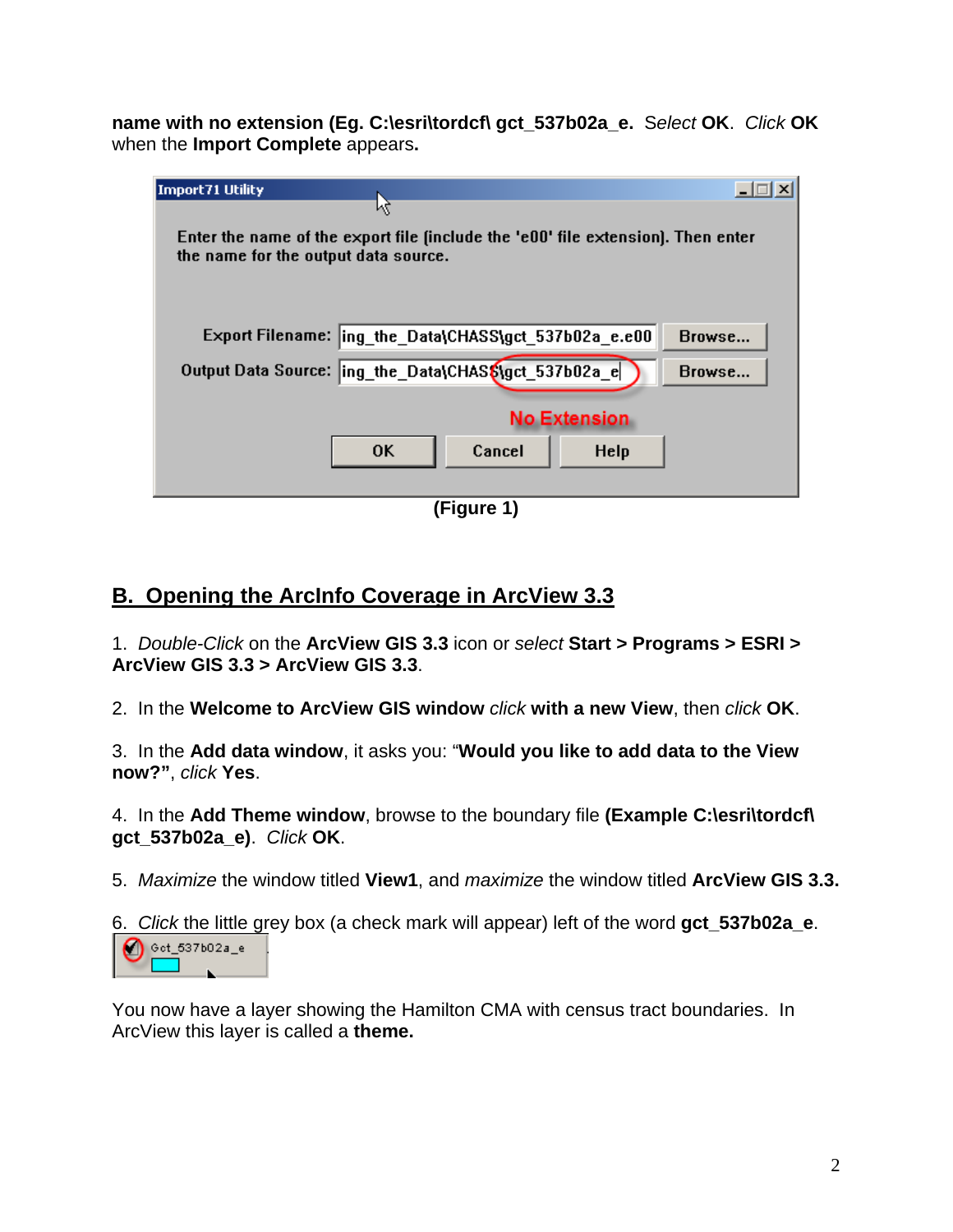**name with no extension (Eg. C:\esri\tordcf\ gct\_537b02a\_e.** S*elect* **OK**. *Click* **OK**  when the **Import Complete** appears**.**

| Import71 Utility<br>μç                                                                                                                |
|---------------------------------------------------------------------------------------------------------------------------------------|
| Enter the name of the export file finclude the 'e00' file extension]. Then enter<br>the name for the output data source.              |
| Export Filename:  ing_the_Data\CHASS\gct_537b02a_e.e00<br>Browse<br>Output Data Source:  ing_the_Data\CHAS\$\gct_537b02a_e <br>Browse |
| <b>No Extension</b><br><b>OK</b><br>Cancel<br><b>Help</b>                                                                             |

**(Figure 1)** 

# **B. Opening the ArcInfo Coverage in ArcView 3.3**

1. *Double-Click* on the **ArcView GIS 3.3** icon or *select* **Start > Programs > ESRI > ArcView GIS 3.3 > ArcView GIS 3.3**.

2. In the **Welcome to ArcView GIS window** *click* **with a new View**, then *click* **OK**.

3. In the **Add data window**, it asks you: "**Would you like to add data to the View now?"**, *click* **Yes**.

4. In the **Add Theme window**, browse to the boundary file **(Example C:\esri\tordcf\ gct\_537b02a\_e)**. *Click* **OK**.

5. *Maximize* the window titled **View1**, and *maximize* the window titled **ArcView GIS 3.3.**

6. *Click* the little grey box (a check mark will appear) left of the word **gct\_537b02a\_e**.

 $\bigcirc$  est\_637602a\_e

You now have a layer showing the Hamilton CMA with census tract boundaries. In ArcView this layer is called a **theme.**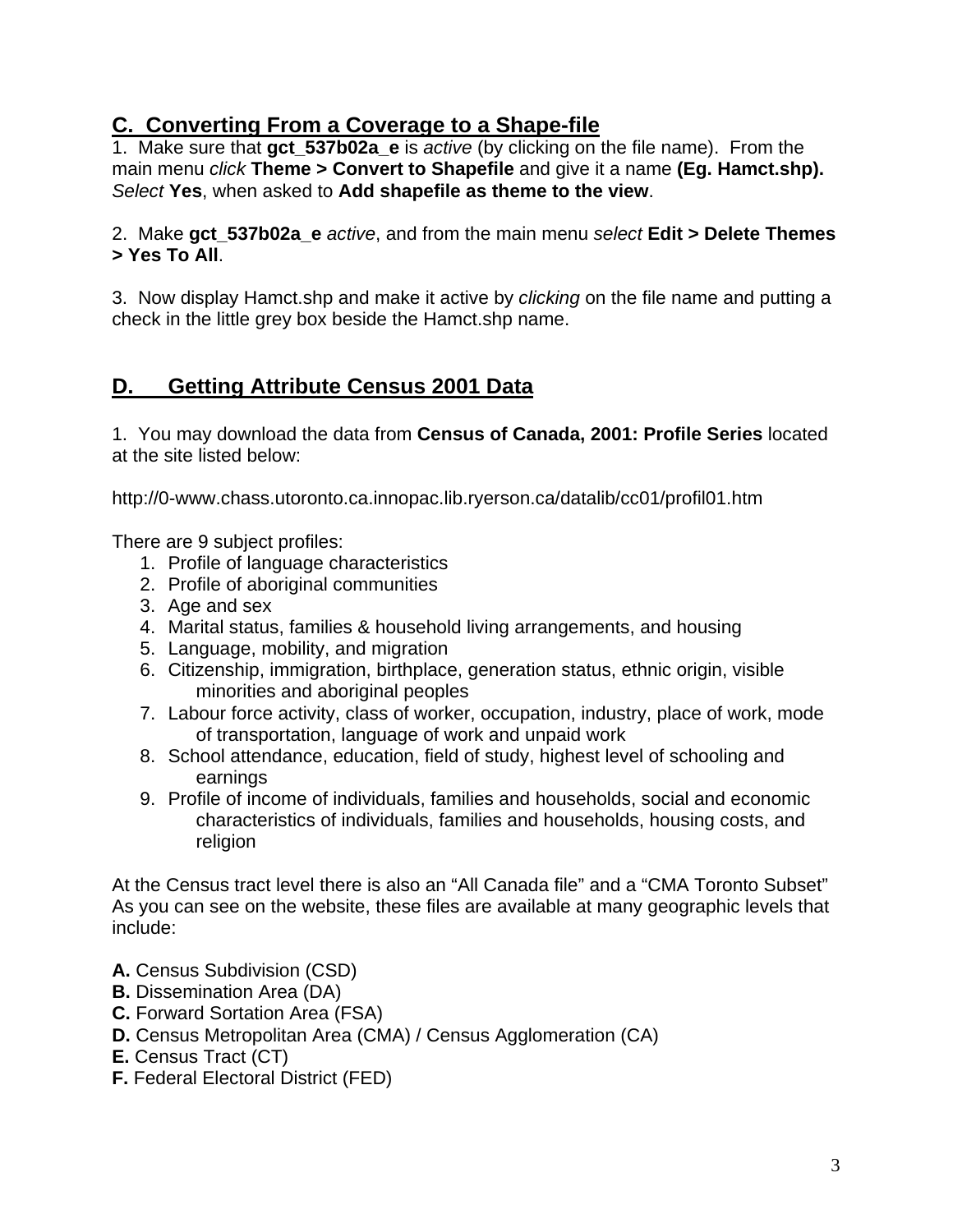### **C. Converting From a Coverage to a Shape-file**

1. Make sure that **gct\_537b02a\_e** is *active* (by clicking on the file name). From the main menu *click* **Theme > Convert to Shapefile** and give it a name **(Eg. Hamct.shp).**  *Select* **Yes**, when asked to **Add shapefile as theme to the view**.

2. Make **gct\_537b02a\_e** *active*, and from the main menu *select* **Edit > Delete Themes > Yes To All**.

3. Now display Hamct.shp and make it active by *clicking* on the file name and putting a check in the little grey box beside the Hamct.shp name.

## **D. Getting Attribute Census 2001 Data**

1. You may download the data from **Census of Canada, 2001: Profile Series** located at the site listed below:

http://0-www.chass.utoronto.ca.innopac.lib.ryerson.ca/datalib/cc01/profil01.htm

There are 9 subject profiles:

- 1. Profile of language characteristics
- 2. Profile of aboriginal communities
- 3. Age and sex
- 4. Marital status, families & household living arrangements, and housing
- 5. Language, mobility, and migration
- 6. Citizenship, immigration, birthplace, generation status, ethnic origin, visible minorities and aboriginal peoples
- 7. Labour force activity, class of worker, occupation, industry, place of work, mode of transportation, language of work and unpaid work
- 8. School attendance, education, field of study, highest level of schooling and earnings
- 9. Profile of income of individuals, families and households, social and economic characteristics of individuals, families and households, housing costs, and religion

At the Census tract level there is also an "All Canada file" and a "CMA Toronto Subset" As you can see on the website, these files are available at many geographic levels that include:

- **A.** Census Subdivision (CSD)
- **B.** Dissemination Area (DA)
- **C.** Forward Sortation Area (FSA)
- **D.** Census Metropolitan Area (CMA) / Census Agglomeration (CA)
- **E.** Census Tract (CT)
- **F.** Federal Electoral District (FED)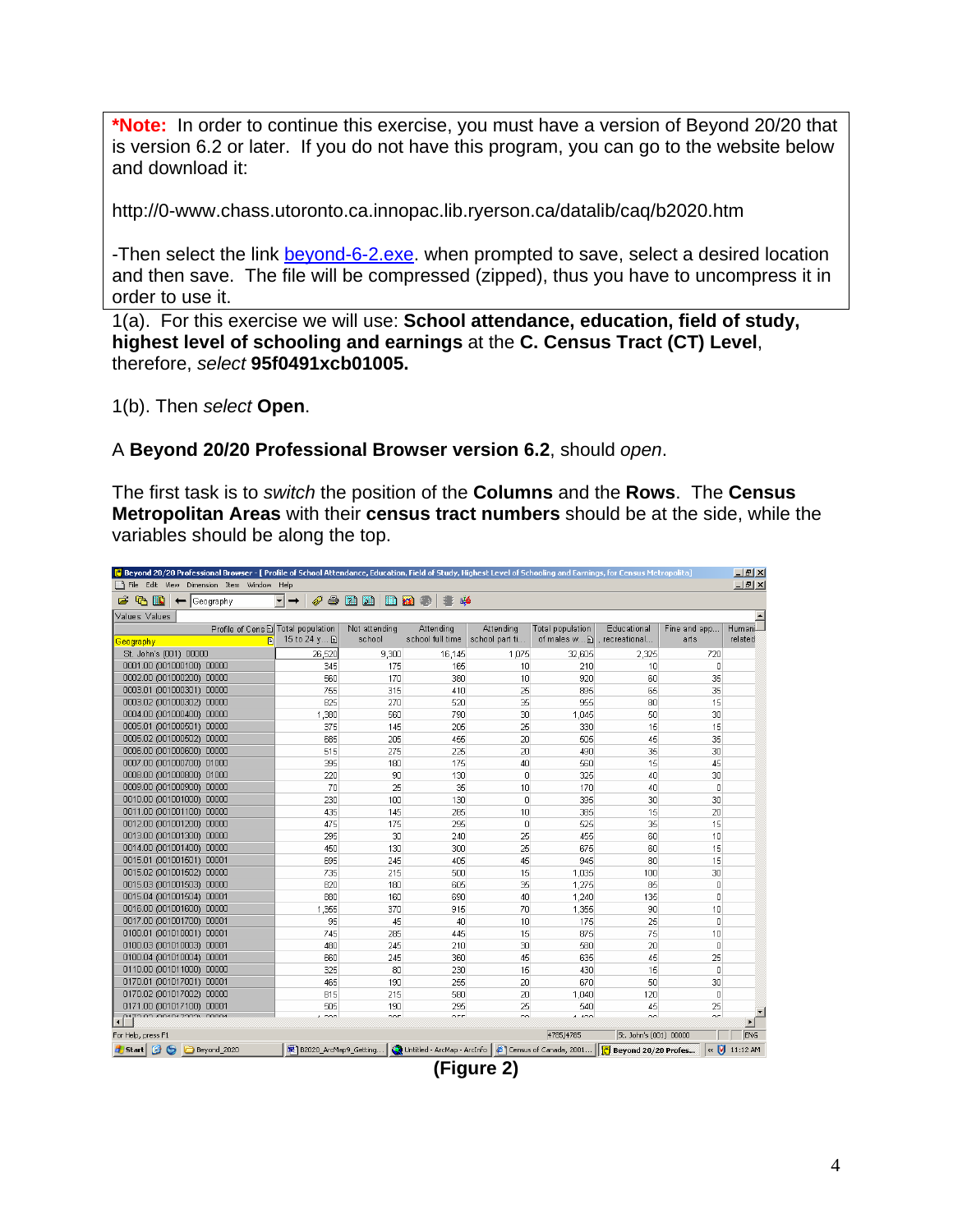**\*Note:** In order to continue this exercise, you must have a version of Beyond 20/20 that is version 6.2 or later. If you do not have this program, you can go to the website below and download it:

http://0-www.chass.utoronto.ca.innopac.lib.ryerson.ca/datalib/caq/b2020.htm

-Then select the link **[beyond-6-2.exe](http://prod.library.utoronto.ca:8090/datalib/datar/b2020/v6_2/beyond-6-2.exe)**, when prompted to save, select a desired location and then save. The file will be compressed (zipped), thus you have to uncompress it in order to use it.

1(a). For this exercise we will use: **School attendance, education, field of study, highest level of schooling and earnings** at the **C. Census Tract (CT) Level**, therefore, *select* **95f0491xcb01005.**

1(b). Then *select* **Open**.

#### A **Beyond 20/20 Professional Browser version 6.2**, should *open*.

The first task is to *switch* the position of the **Columns** and the **Rows**. The **Census Metropolitan Areas** with their **census tract numbers** should be at the side, while the variables should be along the top.

| $  d $ $\times$<br>C Beyond 20/20 Professional Browser - [ Profile of School Attendance, Education, Field of Study, Highest Level of Schooling and Earnings, for Census Metropolita] |                                    |                     |                  |                 |                                                                                |                        |                |                     |  |  |  |  |  |
|--------------------------------------------------------------------------------------------------------------------------------------------------------------------------------------|------------------------------------|---------------------|------------------|-----------------|--------------------------------------------------------------------------------|------------------------|----------------|---------------------|--|--|--|--|--|
| $ F$ $\times$<br>File Edit View Dimension Item Window Help                                                                                                                           |                                    |                     |                  |                 |                                                                                |                        |                |                     |  |  |  |  |  |
| $\mathbb{R}$<br>$\leftarrow$ Geography                                                                                                                                               | $\mathbf{r}$<br>4<br>$\rightarrow$ | mm<br><b>En</b> kal | â                |                 |                                                                                |                        |                |                     |  |  |  |  |  |
| Values: Values                                                                                                                                                                       |                                    |                     |                  |                 |                                                                                |                        |                |                     |  |  |  |  |  |
| Profile of Cens E Total population                                                                                                                                                   |                                    | Not attending       | Attending        | Attending       | <b>Total population</b>                                                        | Educational            | Fine and app   | Humani-             |  |  |  |  |  |
| A<br><u>Geography</u>                                                                                                                                                                | 15 to 24 γ <b>A</b>                | school              | school full time | school part ti  | of males w                                                                     | , recreational         | arts           | related             |  |  |  |  |  |
| St. John's (001) 00000                                                                                                                                                               | 26,520                             | 9,300               | 16,145           | 1,075           | 32,605                                                                         | 2,325                  | 720            |                     |  |  |  |  |  |
| 0001.00 (001000100) 00000                                                                                                                                                            | 345                                | 175                 | 165              | 10              | 210                                                                            | 10                     | $\overline{0}$ |                     |  |  |  |  |  |
| 0002.00 (001000200) 00000                                                                                                                                                            | 560                                | 170                 | 380              | 10              | 920                                                                            | 60                     | 35             |                     |  |  |  |  |  |
| 0003.01 (001000301) 00000                                                                                                                                                            | 755                                | 315                 | 410              | 25              | 895                                                                            | 65                     | 35             |                     |  |  |  |  |  |
| 0003.02 (001000302) 00000                                                                                                                                                            | 825                                | 270                 | 520              | 35              | 955                                                                            | 80                     | 15             |                     |  |  |  |  |  |
| 0004.00 (001000400) 00000                                                                                                                                                            | 1,380                              | 560                 | 790              | 30              | 1,045                                                                          | 50                     | 30             |                     |  |  |  |  |  |
| 0005.01 (001000501) 00000                                                                                                                                                            | 375                                | 145                 | 205              | 25              | 330                                                                            | 15                     | 15             |                     |  |  |  |  |  |
| 0005.02 (001000502) 00000                                                                                                                                                            | 685                                | 205                 | 455              | 20              | 505                                                                            | 45                     | 35             |                     |  |  |  |  |  |
| 0006.00 (001000600) 00000                                                                                                                                                            | 515                                | 275                 | 225              | 20              | 490                                                                            | 35                     | 30             |                     |  |  |  |  |  |
| 0007.00 (001000700) 01000                                                                                                                                                            | 395                                | 180                 | 175              | 40              | 560                                                                            | 15                     | 45             |                     |  |  |  |  |  |
| 0008.00 (001000800) 01000                                                                                                                                                            | 220                                | 90                  | 130              | $\mathbf 0$     | 325                                                                            | 40                     | 30             |                     |  |  |  |  |  |
| 0009.00 (001000900) 00000                                                                                                                                                            | 70                                 | 25                  | 35               | 10              | 170                                                                            | 40                     | $\mathbf 0$    |                     |  |  |  |  |  |
| 0010.00 (001001000) 00000                                                                                                                                                            | 230                                | 100                 | 130              | $\Omega$        | 395                                                                            | 30                     | 30             |                     |  |  |  |  |  |
| 0011.00 (001001100) 00000                                                                                                                                                            | 435                                | 145                 | 285              | 10              | 385                                                                            | 15                     | 20             |                     |  |  |  |  |  |
| 0012.00 (001001200) 00000                                                                                                                                                            | 475                                | 175                 | 295              | $\Box$          | 525                                                                            | 35                     | 15             |                     |  |  |  |  |  |
| 0013.00 (001001300) 00000                                                                                                                                                            | 295                                | 30                  | 240              | 25              | 455                                                                            | 60                     | 10             |                     |  |  |  |  |  |
| 0014.00 (001001400) 00000                                                                                                                                                            | 450                                | 130                 | 300              | 25              | 675                                                                            | 60                     | 15             |                     |  |  |  |  |  |
| 0015.01 (001001501) 00001                                                                                                                                                            | 695                                | 245                 | 405              | 45              | 945                                                                            | 80                     | 15             |                     |  |  |  |  |  |
| 0015.02 (001001502) 00000                                                                                                                                                            | 735                                | 215                 | 500              | 15              | 1,035                                                                          | 100                    | 30             |                     |  |  |  |  |  |
| 0015.03 (001001503) 00000                                                                                                                                                            | 820                                | 180                 | 605              | 35              | 1.275                                                                          | 85                     | $\Box$         |                     |  |  |  |  |  |
| 0015.04 (001001504) 00001                                                                                                                                                            | 880                                | 160                 | 690              | 40              | 1,240                                                                          | 135                    | $\Omega$       |                     |  |  |  |  |  |
| 0016.00 (001001600) 00000                                                                                                                                                            | 1,355                              | 370                 | 915              | 70              | 1,355                                                                          | 90                     | 10             |                     |  |  |  |  |  |
| 0017.00 (001001700) 00001                                                                                                                                                            | 95                                 | 45                  | 40               | 10 <sup>1</sup> | 175                                                                            | 25                     | 0              |                     |  |  |  |  |  |
| 0100.01 (001010001) 00001                                                                                                                                                            | 745                                | 285                 | 445              | 15              | 875                                                                            | 75                     | 10             |                     |  |  |  |  |  |
| 0100.03 (001010003) 00001                                                                                                                                                            | 480                                | 245                 | 210              | 30              | 580                                                                            | 20                     | $\Box$         |                     |  |  |  |  |  |
| 0100.04 (001010004) 00001                                                                                                                                                            | 660                                | 245                 | 360              | 45              | 635                                                                            | 45                     | 25             |                     |  |  |  |  |  |
| 0110.00 (001011000) 00000                                                                                                                                                            | 325                                | 80                  | 230              | 15              | 430                                                                            | 15                     | $\Omega$       |                     |  |  |  |  |  |
| 0170.01 (001017001) 00001                                                                                                                                                            | 465                                | 190                 | 255              | 20              | 670                                                                            | 50                     | 30             |                     |  |  |  |  |  |
| 0170.02 (001017002) 00000                                                                                                                                                            | 815                                | 215                 | 580              | 20              | 1,040                                                                          | 120                    | $\Omega$       |                     |  |  |  |  |  |
| 0171.00 (001017100) 00001                                                                                                                                                            | 505                                | 190                 | 295              | 25              | 540                                                                            | 45                     | 25             |                     |  |  |  |  |  |
| 0470.00.004047000\ 00004                                                                                                                                                             | $-$                                | oor.                | one.             | co.             | $\overline{a}$                                                                 | $\sim$                 | or.            | $\mathbf{E}$        |  |  |  |  |  |
| For Help, press F1                                                                                                                                                                   |                                    |                     |                  |                 | 4785/4785                                                                      | St. John's (001) 00000 |                | <b>ENG</b>          |  |  |  |  |  |
| <b>BS</b><br>Beyond_2020<br><b>de Start</b>                                                                                                                                          | B B2020 ArcMap9 Getting            |                     |                  |                 | Untitled - ArcMap - ArcInfo   @ Census of Canada, 2001   F Beyond 20/20 Profes |                        |                | « <b>V</b> 11:12 AM |  |  |  |  |  |

**(Figure 2)**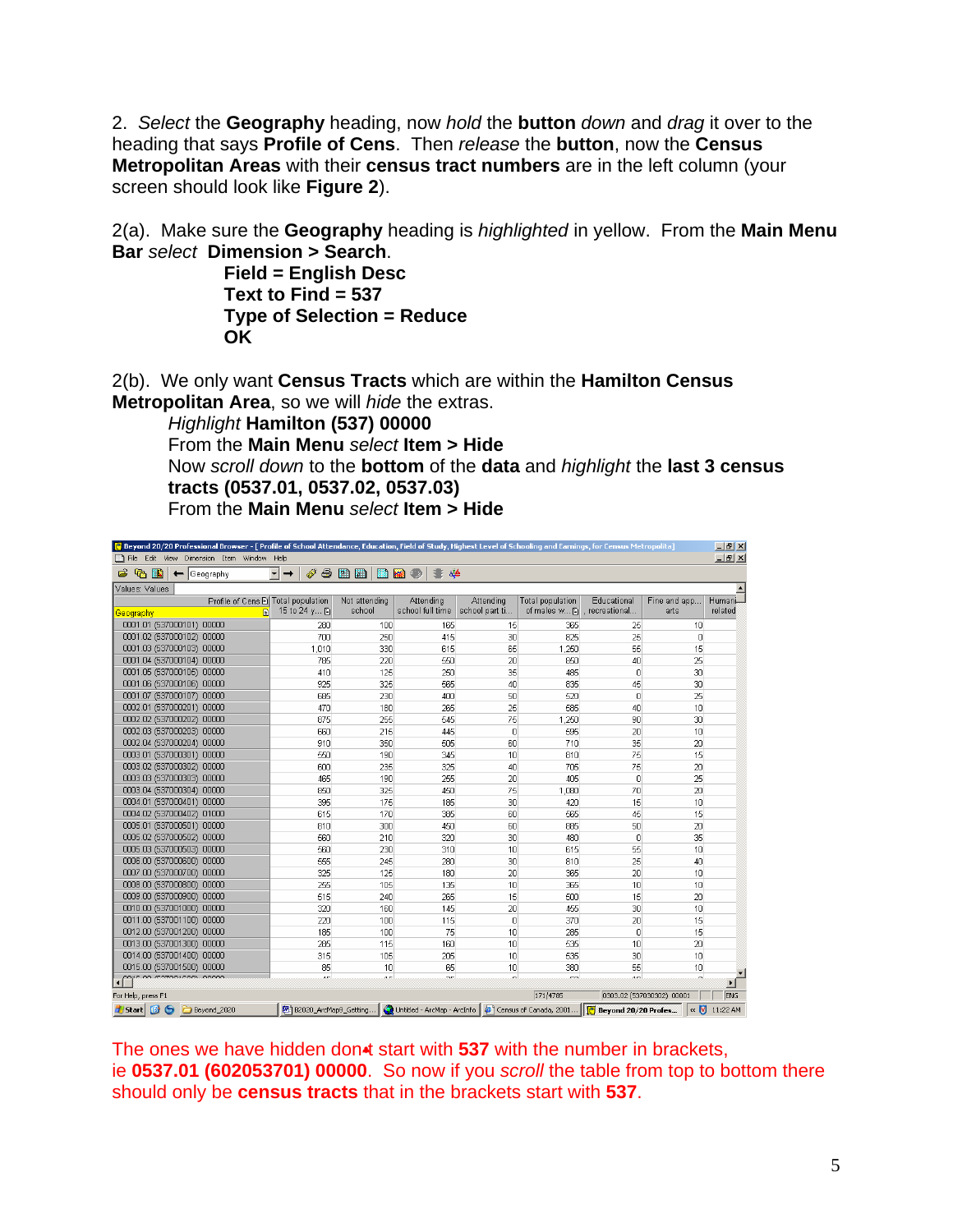2. *Select* the **Geography** heading, now *hold* the **button** *down* and *drag* it over to the heading that says **Profile of Cens**. Then *release* the **button**, now the **Census Metropolitan Areas** with their **census tract numbers** are in the left column (your screen should look like **Figure 2**).

2(a). Make sure the **Geography** heading is *highlighted* in yellow. From the **Main Menu Bar** *select* **Dimension > Search**.

**Field = English Desc Text to Find = 537 Type of Selection = Reduce OK**

2(b). We only want **Census Tracts** which are within the **Hamilton Census Metropolitan Area**, so we will *hide* the extras.

*Highlight* **Hamilton (537) 00000** From the **Main Menu** *select* **Item > Hide** Now *scroll down* to the **bottom** of the **data** and *highlight* the **last 3 census tracts (0537.01, 0537.02, 0537.03)** From the **Main Menu** *select* **Item > Hide** 

| C Beyond 20/20 Professional Browser - [ Profile of School Attendance, Education, Field of Study, Highest Level of Schooling and Earnings, for Census Metropolita]<br>$-1$ $-1 \times 1$ |              |               |                  |                 |                         |                 |                           |                       |  |  |  |  |  |
|-----------------------------------------------------------------------------------------------------------------------------------------------------------------------------------------|--------------|---------------|------------------|-----------------|-------------------------|-----------------|---------------------------|-----------------------|--|--|--|--|--|
| File Edit View Dimension Item Window Help                                                                                                                                               |              |               |                  |                 |                         |                 |                           | $-10x$                |  |  |  |  |  |
| $\mathbb{R}$<br>ら<br>Geography                                                                                                                                                          | Ñ            | 今面面<br>m      | âé<br>kál        |                 |                         |                 |                           |                       |  |  |  |  |  |
| Values: Values                                                                                                                                                                          |              |               |                  |                 |                         |                 |                           |                       |  |  |  |  |  |
| Profile of Cens E Total population                                                                                                                                                      |              | Not attending | Attending        | Attending       | <b>Total population</b> | Educational     | Fine and app              | Humani                |  |  |  |  |  |
| F<br><u>Geography</u>                                                                                                                                                                   | 15 to 24 y m | school        | school full time | school part ti  | of males w              | . recreational  | arts                      | related               |  |  |  |  |  |
| 0001.01 (537000101) 00000                                                                                                                                                               | 280          | 100           | 165              | 15              | 365                     | 25              | 10                        |                       |  |  |  |  |  |
| 0001.02 (537000102) 00000                                                                                                                                                               | 700          | 250           | 415              | 30              | 825                     | 25              | $\overline{0}$            |                       |  |  |  |  |  |
| 0001.03 (537000103) 00000                                                                                                                                                               | 1,010        | 330           | 615              | 65              | 1,250                   | 55              | 15                        |                       |  |  |  |  |  |
| 0001.04 (537000104) 00000                                                                                                                                                               | 785          | 220           | 550              | 20              | 850                     | 40              | 25                        |                       |  |  |  |  |  |
| 0001.05 (537000105) 00000                                                                                                                                                               | 410          | 125           | 250              | 35              | 485                     | $\Box$          | 30 <sup>1</sup>           |                       |  |  |  |  |  |
| 0001.06 (537000106) 00000                                                                                                                                                               | 925          | 325           | 565              | 40              | 835                     | 45              | 30                        |                       |  |  |  |  |  |
| 0001.07 (537000107) 00000                                                                                                                                                               | 685          | 230           | 400              | 50              | 520                     | $\overline{0}$  | 25                        |                       |  |  |  |  |  |
| 0002.01 (537000201) 00000                                                                                                                                                               | 470          | 180           | 265              | 25              | 585                     | 40              | 10                        |                       |  |  |  |  |  |
| 0002.02 (537000202) 00000                                                                                                                                                               | 875          | 255           | 545              | 75              | 1.250                   | 90              | 30                        |                       |  |  |  |  |  |
| 0002.03 (537000203) 00000                                                                                                                                                               | 660          | 215           | 445              | $\Omega$        | 595                     | 20              | 10 <sup>1</sup>           |                       |  |  |  |  |  |
| 0002.04 (537000204) 00000                                                                                                                                                               | 910          | 350           | 505              | 60              | 710                     | 35              | 20                        |                       |  |  |  |  |  |
| 0003.01 (537000301) 00000                                                                                                                                                               | 550          | 190           | 345              | 10              | 810                     | 75              | 15                        |                       |  |  |  |  |  |
| 0003.02 (537000302) 00000                                                                                                                                                               | 600          | 235           | 325              | 40              | 705                     | 75              | 20                        |                       |  |  |  |  |  |
| 0003.03 (537000303) 00000                                                                                                                                                               | 465          | 190           | 255              | 20              | 405                     | $\overline{0}$  | 25                        |                       |  |  |  |  |  |
| 0003.04 (537000304) 00000                                                                                                                                                               | 850          | 325           | 450              | 75              | 1.080                   | 70              | 20                        |                       |  |  |  |  |  |
| 0004.01 (537000401) 00000                                                                                                                                                               | 395          | 175           | 185              | 30              | 420                     | 15              | 10 <sup>1</sup>           |                       |  |  |  |  |  |
| 0004.02 (537000402) 01000                                                                                                                                                               | 615          | 170           | 385              | 60              | 565                     | 45              | 15                        |                       |  |  |  |  |  |
| 0005.01 (537000501) 00000                                                                                                                                                               | 810          | 300           | 450              | 60              | 885                     | 50              | 20                        |                       |  |  |  |  |  |
| 0005.02 (537000502) 00000                                                                                                                                                               | 560          | 210           | 320              | 30              | 480                     | $\overline{0}$  | 35                        |                       |  |  |  |  |  |
| 0005.03 (537000503) 00000                                                                                                                                                               | 560          | 230           | 310              | 10              | 615                     | 55              | 10 <sup>1</sup>           |                       |  |  |  |  |  |
| 0006.00 (537000600) 00000                                                                                                                                                               | 555          | 245           | 280              | 30              | 810                     | 25              | 40                        |                       |  |  |  |  |  |
| 0007.00 (537000700) 00000                                                                                                                                                               | 325          | 125           | 180              | 20              | 365                     | 20              | 10                        |                       |  |  |  |  |  |
| 0008.00 (537000800) 00000                                                                                                                                                               | 255          | 105           | 135              | 10              | 365                     | 10              | 10                        |                       |  |  |  |  |  |
| 0009.00 (537000900) 00000                                                                                                                                                               | 515          | 240           | 265              | 15              | 500                     | 15              | 20                        |                       |  |  |  |  |  |
| 0010.00 (537001000) 00000                                                                                                                                                               | 320          | 160           | 145              | 20              | 455                     | 30 <sup>1</sup> | 10 <sup>1</sup>           |                       |  |  |  |  |  |
| 0011.00 (537001100) 00000                                                                                                                                                               | 220          | 100           | 115              | $\Omega$        | 370                     | 20              | 15                        |                       |  |  |  |  |  |
| 0012.00 (537001200) 00000                                                                                                                                                               | 185          | 100           | 75               | 10              | 285                     | $\mathbf{0}$    | 15                        |                       |  |  |  |  |  |
| 0013.00 (537001300) 00000                                                                                                                                                               | 285          | 115           | 160              | 10 <sup>1</sup> | 535                     | 10              | 20                        |                       |  |  |  |  |  |
| 0014.00 (537001400) 00000                                                                                                                                                               | 315          | 105           | 205              | 10              | 535                     | 30              | 10 <sup>1</sup>           |                       |  |  |  |  |  |
| 0015.00 (537001500) 00000                                                                                                                                                               | 85           | 10            | 65               | 10              | 380                     | 55              | 10 <sup>1</sup>           |                       |  |  |  |  |  |
| 2010.00 /537001000\ 00000                                                                                                                                                               | хe.          | $\lambda =$   | $\sim$           | $\sim$          | co.                     | $\overline{a}$  | ۵l                        | $\blacktriangleright$ |  |  |  |  |  |
| For Help, press F1                                                                                                                                                                      |              |               |                  |                 | 171/4785                |                 | 0303.02 (537030302) 00001 | <b>ENG</b>            |  |  |  |  |  |
| <b>H</b> start   @ 6<br>Untitled - ArcMap - ArcInfo<br>Census of Canada, 2001<br><b>F</b> Beyond 20/20 Profes<br>« <b>V</b> 11:22 AM<br>B B2020_ArcMap9_Getting<br>Beyond_2020          |              |               |                  |                 |                         |                 |                           |                       |  |  |  |  |  |

The ones we have hidden don<sup>t</sup> start with 537 with the number in brackets, ie **0537.01 (602053701) 00000**. So now if you *scroll* the table from top to bottom there should only be **census tracts** that in the brackets start with **537**.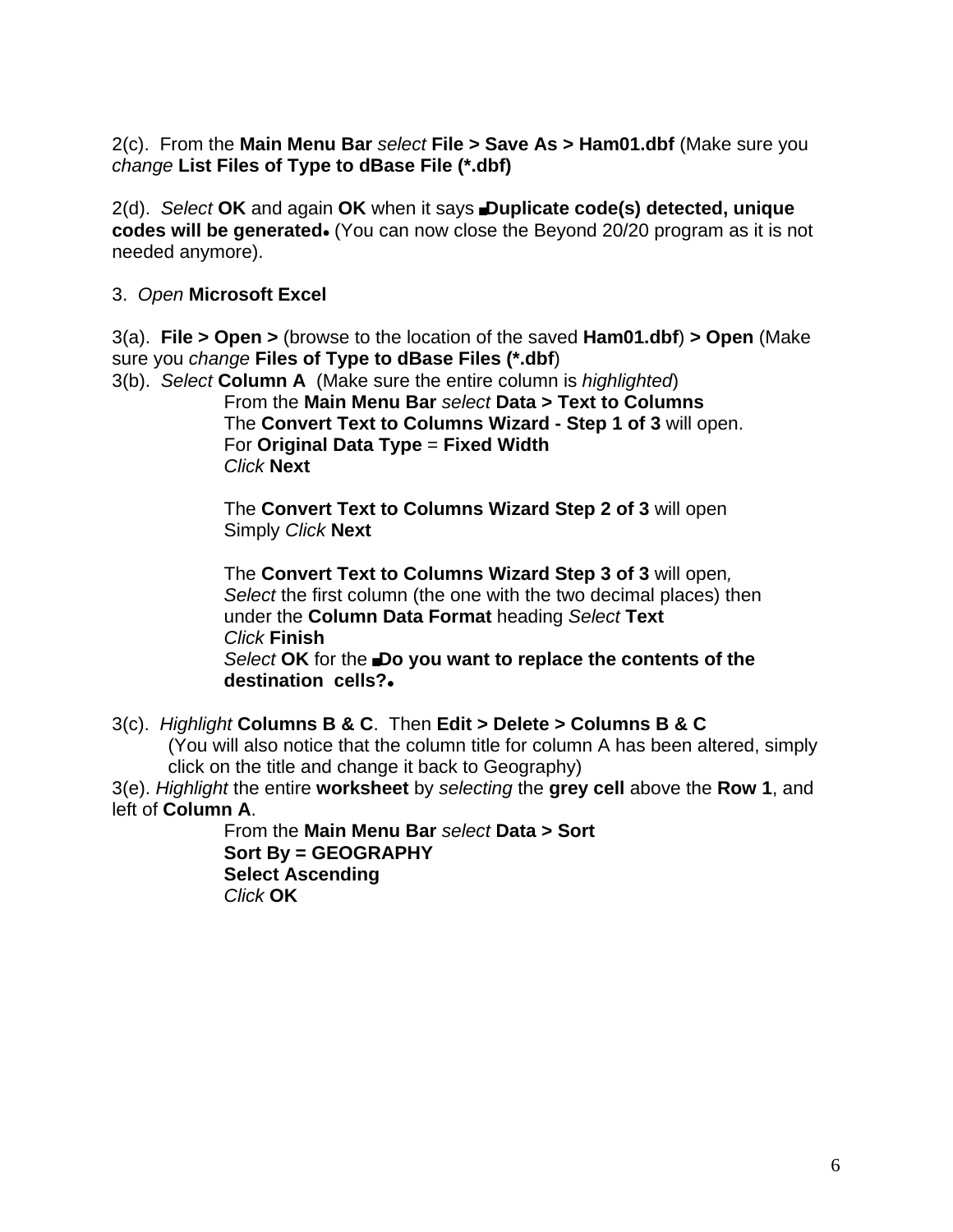2(c). From the **Main Menu Bar** *select* **File > Save As > Ham01.dbf** (Make sure you *change* **List Files of Type to dBase File (\*.dbf)** 

2(d). *Select* OK and again OK when it says Duplicate code(s) detected, unique **codes will be generated.** (You can now close the Beyond 20/20 program as it is not needed anymore).

#### 3. *Open* **Microsoft Excel**

3(a). **File > Open >** (browse to the location of the saved **Ham01.dbf**) **> Open** (Make sure you *change* **Files of Type to dBase Files (\*.dbf**)

3(b). *Select* **Column A** (Make sure the entire column is *highlighted*) From the **Main Menu Bar** *select* **Data > Text to Columns** The **Convert Text to Columns Wizard - Step 1 of 3** will open. For **Original Data Type** = **Fixed Width** *Click* **Next**

> The **Convert Text to Columns Wizard Step 2 of 3** will open Simply *Click* **Next**

The **Convert Text to Columns Wizard Step 3 of 3** will open*, Select* the first column (the one with the two decimal places) then under the **Column Data Format** heading *Select* **Text** *Click* **Finish Select OK** for the **Do you want to replace the contents of the** 

destination cells?.

3(c). *Highlight* **Columns B & C**. Then **Edit > Delete > Columns B & C**

(You will also notice that the column title for column A has been altered, simply click on the title and change it back to Geography)

3(e). *Highlight* the entire **worksheet** by *selecting* the **grey cell** above the **Row 1**, and left of **Column A**.

> From the **Main Menu Bar** *select* **Data > Sort Sort By = GEOGRAPHY Select Ascending**  *Click* **OK**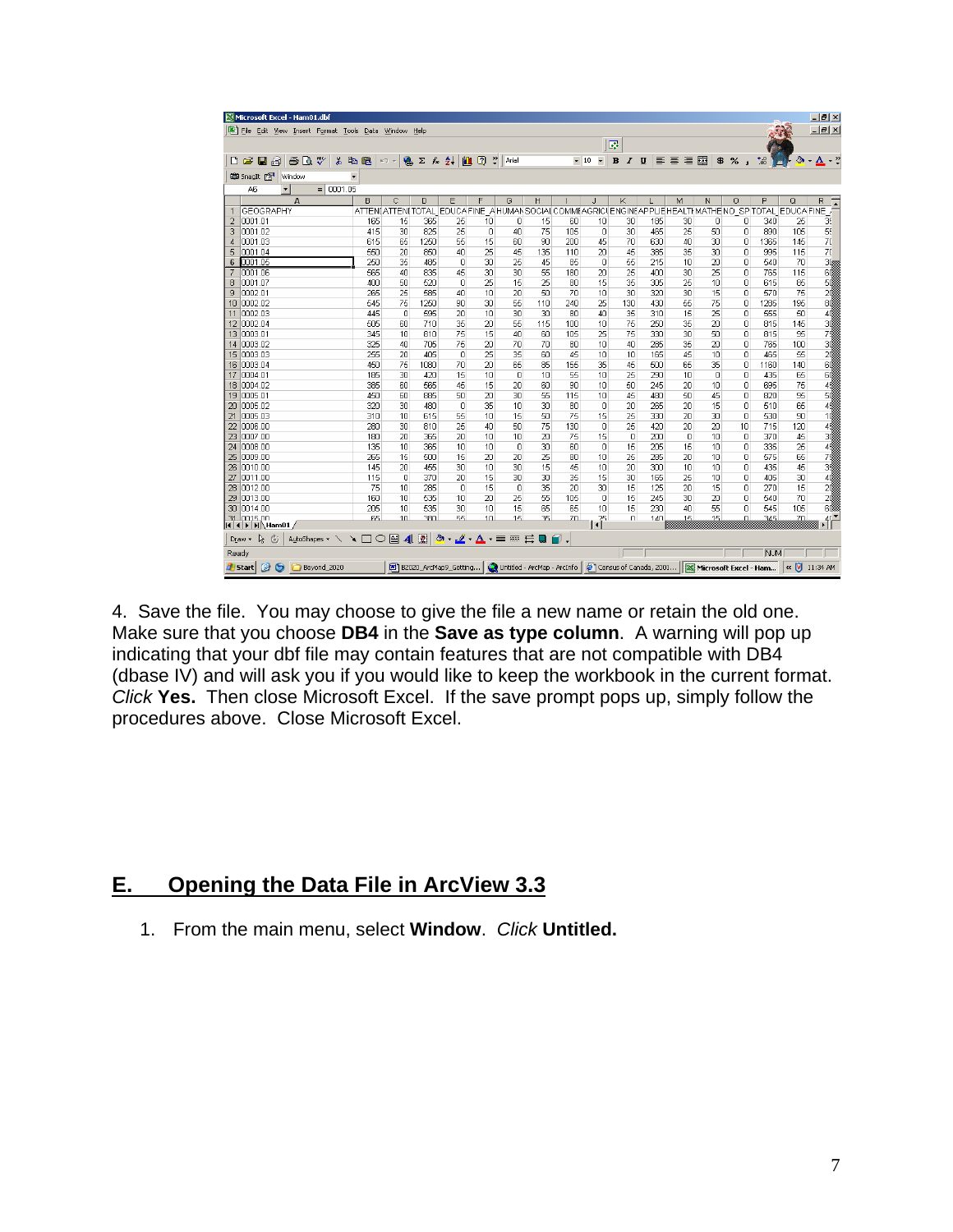| Microsoft Excel - Ham01.dbf                                   |                      |                   |                |                                                                                                                                                                                         |             |          |                                                                          |     |                           |                                |                        |     |                       |             |            |     | $  \sqrt{2}$       |
|---------------------------------------------------------------|----------------------|-------------------|----------------|-----------------------------------------------------------------------------------------------------------------------------------------------------------------------------------------|-------------|----------|--------------------------------------------------------------------------|-----|---------------------------|--------------------------------|------------------------|-----|-----------------------|-------------|------------|-----|--------------------|
| File Edit View Insert Format Tools Data Window Help           |                      |                   |                |                                                                                                                                                                                         |             |          |                                                                          |     |                           |                                |                        |     |                       |             |            |     | $-1$ $-1 \times 1$ |
|                                                               |                      |                   |                |                                                                                                                                                                                         |             |          |                                                                          |     |                           | F                              |                        |     |                       |             |            |     |                    |
| $\bigoplus \bigcap \mathbb{Q}}$<br>日日<br>黒<br>œ<br>n          | 电追                   | $K$ $\rightarrow$ | <b>A</b> Σ f 2 | 仙                                                                                                                                                                                       | $2^{\circ}$ | Arial    |                                                                          |     | $-10$                     | $\mathbf{B}$<br>$\overline{I}$ | $\mathbf U$            | 国营理 | 圉                     | \$ % ,      | $^{+60}$   | න   | $\mathbf{A}$ .     |
| <b>CO</b> SnagIt Par<br>$\overline{\phantom{0}}$<br>Window    |                      |                   |                |                                                                                                                                                                                         |             |          |                                                                          |     |                           |                                |                        |     |                       |             |            |     |                    |
| $= 0001.05$<br>A6                                             |                      |                   |                |                                                                                                                                                                                         |             |          |                                                                          |     |                           |                                |                        |     |                       |             |            |     |                    |
| А                                                             | B                    | Ċ                 | D.             | E                                                                                                                                                                                       | F           | G        | H                                                                        |     | J.                        | K                              |                        | M   | N                     | $\circ$     | P          | Q   | R                  |
| <b>GEOGRAPHY</b><br>$\mathbf{1}$                              | <b>ATTEN(ATTEN(1</b> |                   |                | OTAL EDUCA FINE                                                                                                                                                                         |             |          | A HUMAN SOCIAL COMMEAGRICUENGINEAPPLIEHEALTHMATHE NO SPITOTAL EDUCA FINE |     |                           |                                |                        |     |                       |             |            |     |                    |
| 0001.01<br>$\overline{2}$                                     | 165                  | 15                | 365            | 25                                                                                                                                                                                      | 10          | 0        | 15                                                                       | 60  | 10                        | 30                             | 185                    | 30  | 0                     | n           | 340        | 25  | 36                 |
| 0001.02<br>3                                                  | 415                  | 30                | 825            | 25                                                                                                                                                                                      | $\Box$      | 40       | 75                                                                       | 105 | $\Omega$                  | 30                             | 465                    | 25  | 50                    | $\Omega$    | 890        | 105 | 55                 |
| 0001.03<br>$\overline{4}$                                     | 615                  | 65                | 1250           | 55                                                                                                                                                                                      | 15          | 60       | 90                                                                       | 200 | 45                        | 70                             | 630                    | 40  | 30                    | 0           | 1365       | 145 | 70                 |
| 5<br>0001.04                                                  | 550                  | 20                | 850            | 40                                                                                                                                                                                      | 25          | 45       | 135                                                                      | 110 | 20                        | 45                             | 385                    | 35  | 30                    | $\mathbf 0$ | 995        | 115 | 70                 |
| 0001.05<br>6                                                  | 250                  | 35                | 485            | 0                                                                                                                                                                                       | 30          | 25       | 45                                                                       | 85  | 0                         | 55                             | 215                    | 10  | 20                    | 0           | 540        | 70  | 30 <sub>1</sub>    |
| 7<br>0001.06                                                  | 565                  | 40                | 835            | 45                                                                                                                                                                                      | 30          | 30       | 55                                                                       | 180 | 20                        | 25                             | 400                    | 30  | 25                    | $\Omega$    | 765        | 115 | 6đ                 |
| 0001.07<br>8                                                  | 400                  | 50                | 520            | 0                                                                                                                                                                                       | 25          | 15       | 25                                                                       | 80  | 15                        | 35                             | 305                    | 25  | 10                    | 0           | 615        | 85  | 50                 |
| 9<br>0002.01                                                  | 265                  | 25                | 585            | 40                                                                                                                                                                                      | 10          | 20       | 50                                                                       | 70  | 10                        | 30                             | 320                    | 30  | 15                    | 0           | 570        | 75  | 20                 |
| 10002.02<br>10 <sup>1</sup>                                   | 545                  | 75                | 1250           | 90                                                                                                                                                                                      | 30          | 55       | 110                                                                      | 240 | 25                        | 130                            | 430                    | 55  | 75                    | $\Omega$    | 1285       | 195 | 80                 |
| 0002.03<br>11                                                 | 445                  | 0                 | 595            | 20                                                                                                                                                                                      | 10          | 30       | 30                                                                       | 80  | 40                        | 35                             | 310                    | 15  | 25                    | 0           | 555        | 50  | 40                 |
| 12 0002.04                                                    | 505                  | 60                | 710            | 35                                                                                                                                                                                      | 20          | 55       | 115                                                                      | 100 | 10                        | 75                             | 250                    | 35  | 20                    | 0           | 815        | 145 | 30                 |
| 0003.01<br>13 <sup>°</sup>                                    | 345                  | 10                | 810            | 75                                                                                                                                                                                      | 15          | 40       | 60                                                                       | 105 | 25                        | 75                             | 330                    | 30  | 50                    | 0           | 815        | 95  | 75                 |
| 0003.02<br>14                                                 | 325                  | 40                | 705            | 75                                                                                                                                                                                      | 20          | 70       | 70                                                                       | 80  | 10                        | 40                             | 285                    | 35  | 20                    | 0           | 765        | 100 | 30                 |
| 0003.03<br>15 <sub>1</sub>                                    | 255                  | 20                | 405            | $\Omega$                                                                                                                                                                                | 25          | 35       | 60                                                                       | 45  | 10                        | 10                             | 165                    | 45  | 10                    | $\Box$      | 465        | 55  | 20                 |
| 16<br>0003.04                                                 | 450                  | 75                | 1080           | 70                                                                                                                                                                                      | 20          | 65       | 85                                                                       | 155 | 35                        | 45                             | 500                    | 65  | 35                    | 0           | 1160       | 140 | 60                 |
| 0004.01<br>17                                                 | 185                  | 30                | 420            | 15                                                                                                                                                                                      | 10          | $\Omega$ | 10                                                                       | 55  | 10                        | 25                             | 290                    | 10  | $\Omega$              | $\Omega$    | 435        | 65  | 60                 |
| 0004.02<br>18                                                 | 385                  | 60                | 565            | 45                                                                                                                                                                                      | 15          | 20       | 60                                                                       | 90  | 10                        | 50                             | 245                    | 20  | 10                    | 0           | 695        | 75  | 45                 |
| 0005.01<br>19                                                 | 450                  | 60                | 885            | 50                                                                                                                                                                                      | 20          | 30       | 55                                                                       | 115 | 10                        | 45                             | 480                    | 50  | 45                    | 0           | 820        | 95  | 50                 |
| 20<br>0005.02                                                 | 320                  | 30                | 480            | 0                                                                                                                                                                                       | 35          | 10       | 30                                                                       | 80  | 0                         | 20                             | 265                    | 20  | 15                    | 0           | 510        | 65  | 45                 |
| 21<br>0005.03                                                 | 310                  | 10                | 615            | 55                                                                                                                                                                                      | 10          | 15       | 50                                                                       | 75  | 15                        | 25                             | 330                    | 20  | 30                    | 0           | 530        | 90  | 1đ                 |
| 0006.00<br>22                                                 | 280                  | 30                | 810            | 25                                                                                                                                                                                      | 40          | 50       | 75                                                                       | 130 | $\Omega$                  | 25                             | 420                    | 20  | 20                    | 10          | 715        | 120 | 45                 |
| 0007.00<br>23                                                 | 180                  | 20                | 365            | 20                                                                                                                                                                                      | 10          | 10       | 20                                                                       | 75  | 15                        | 0                              | 200                    | 0   | 10                    | 0           | 370        | 45  | 30                 |
| 24<br>looos oo                                                | 135                  | 10                | 365            | 10                                                                                                                                                                                      | 10          | 0        | 30                                                                       | 60  | 0                         | 15                             | 205                    | 15  | 1 <sup>0</sup>        | $\mathbf 0$ | 335        | 25  | 45                 |
| 25<br>0009.00                                                 | 265                  | 15                | 500            | 15                                                                                                                                                                                      | 20          | 20       | 25                                                                       | 80  | 10                        | 25                             | 285                    | 20  | 10                    | 0           | 575        | 65  | 75                 |
| 0010.00<br>26                                                 | 145                  | 20                | 455            | 30                                                                                                                                                                                      | 10          | 30       | 15                                                                       | 45  | 1 <sub>0</sub>            | 20                             | 300                    | 10  | 1 <sub>0</sub>        | $\Omega$    | 435        | 45  | 38                 |
| 0011.00<br>27                                                 | 115                  | 0                 | 370            | 20                                                                                                                                                                                      | 15          | 30       | 30                                                                       | 35  | 15                        | 30                             | 165                    | 25  | 10                    | 0           | 405        | 30  | 40                 |
| 28<br>0012.00                                                 | 75                   | 10                | 285            | 0                                                                                                                                                                                       | 15          | 0        | 35                                                                       | 20  | 30                        | 15                             | 125                    | 20  | 15                    | 0           | 270        | 15  | 20                 |
| 0013.00<br>29                                                 | 160                  | 10                | 535            | 10                                                                                                                                                                                      | 20          | 25       | 55                                                                       | 105 | 0                         | 15                             | 245                    | 30  | 20                    | 0           | 540        | 70  | 20                 |
| 30 <sub>2</sub><br>0014.00                                    | 205                  | 10                | 535            | 30                                                                                                                                                                                      | 10          | 15       | 65                                                                       | 65  | 10                        | 15                             | 230                    | 40  | 55                    | 0           | 545        | 105 | 60                 |
| 31 0015 00<br>$\vert$ ( $\vert$ + $\vert$ ) $\vert$ + Ham01 / | 65                   | 1 <sub>0</sub>    | 380            | 55.                                                                                                                                                                                     | 10          | 15       | 35                                                                       | 70  | $\overline{\mathbb{C}}^5$ | n                              | 140                    | 15  | 15                    | nl          | 345        | 70  | $\frac{4}{5}$      |
| AutoShapes - \ \ _ □ ○ 圖 4 见<br>-12<br>Draw -<br>$\mathbb{C}$ |                      |                   |                | $\boxed{\mathbf{\circledcirc}\cdot\mathbf{\mathbf{\mathcal{I}}}\cdot\mathbf{\Delta}\cdot\mathbf{\equiv}}\mathbf{\equiv}\mathbf{\equiv}\blacksquare\blacksquare\blacksquare\blacksquare$ |             |          |                                                                          |     |                           |                                |                        |     |                       |             |            |     |                    |
| Ready                                                         |                      |                   |                |                                                                                                                                                                                         |             |          |                                                                          |     |                           |                                |                        |     |                       |             | <b>NUM</b> |     |                    |
| <b>6</b> Beyond_2020<br>G<br><b>Start</b>                     |                      |                   |                | B2020_ArcMap9_Getting                                                                                                                                                                   |             |          | Untitled - ArcMap - ArcInfo                                              |     |                           |                                | Census of Canada, 2001 |     | Microsoft Excel - Ham |             |            |     | « V 11:34 AM       |

4. Save the file. You may choose to give the file a new name or retain the old one. Make sure that you choose **DB4** in the **Save as type column**. A warning will pop up indicating that your dbf file may contain features that are not compatible with DB4 (dbase IV) and will ask you if you would like to keep the workbook in the current format. *Click* **Yes.** Then close Microsoft Excel. If the save prompt pops up, simply follow the procedures above. Close Microsoft Excel.

### **E. Opening the Data File in ArcView 3.3**

1. From the main menu, select **Window**. *Click* **Untitled.**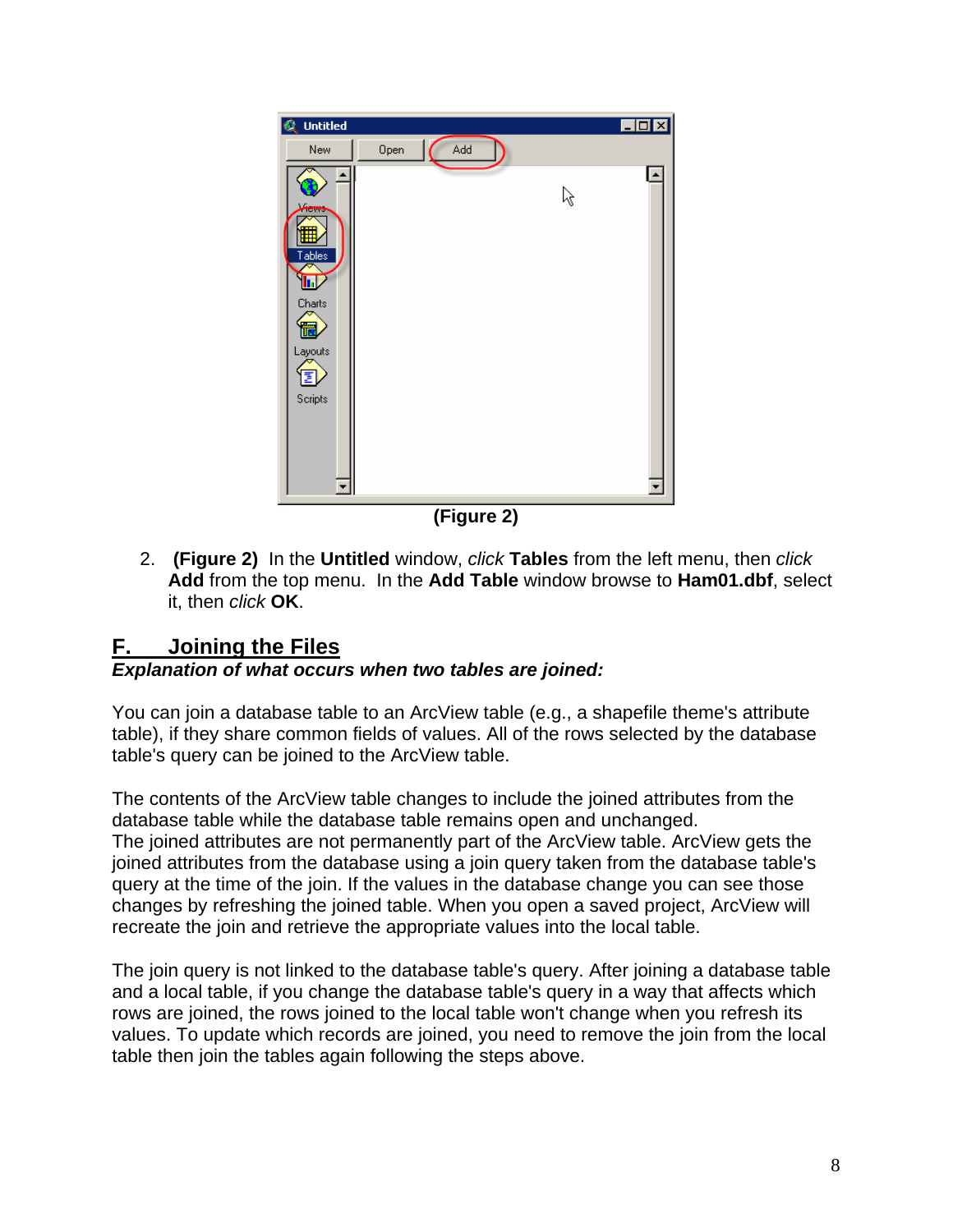

**(Figure 2)** 

2. **(Figure 2)** In the **Untitled** window, *click* **Tables** from the left menu, then *click* **Add** from the top menu. In the **Add Table** window browse to **Ham01.dbf**, select it, then *click* **OK**.

## **F. Joining the Files**

#### *Explanation of what occurs when two tables are joined:*

You can join a database table to an ArcView table (e.g., a shapefile theme's attribute table), if they share common fields of values. All of the rows selected by the database table's query can be joined to the ArcView table.

The contents of the ArcView table changes to include the joined attributes from the database table while the database table remains open and unchanged. The joined attributes are not permanently part of the ArcView table. ArcView gets the joined attributes from the database using a join query taken from the database table's query at the time of the join. If the values in the database change you can see those changes by refreshing the joined table. When you open a saved project, ArcView will recreate the join and retrieve the appropriate values into the local table.

The join query is not linked to the database table's query. After joining a database table and a local table, if you change the database table's query in a way that affects which rows are joined, the rows joined to the local table won't change when you refresh its values. To update which records are joined, you need to remove the join from the local table then join the tables again following the steps above.